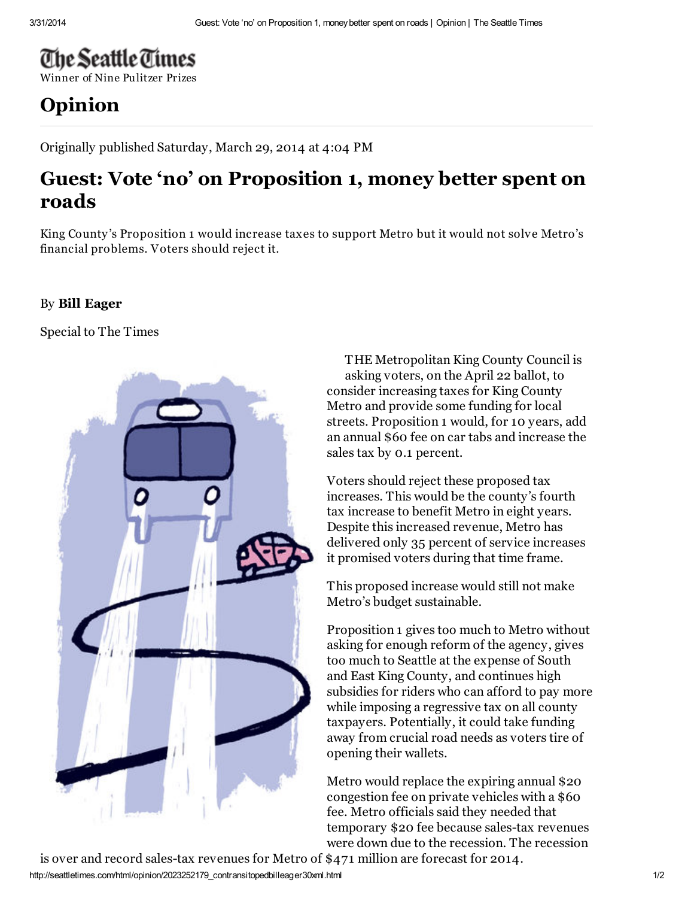## The Seattle Times

Winner of Nine [Pulitzer](http://seattletimes.com/) Prizes

## [Opinion](http://seattletimes.com/html/editorialsopinion/)

Originally published Saturday, March 29, 2014 at 4:04 PM

## Guest: Vote 'no' on Proposition 1, money better spent on roads

King County 's Proposition 1 would increase taxes to support Metro but it would not solve Metro's financial problems. Voters should reject it.

## By Bill [Eager](http://search.nwsource.com/search?searchtype=cq&sort=date&from=ST&byline=%3Cstrong%3EBill%20Eager%3C%2Fstrong%3E)

Special to The Times



THE Metropolitan King County Council is asking voters, on the April 22 ballot, to consider increasing taxes for King County Metro and provide some funding for local streets. Proposition 1 would, for 10 years, add an annual \$60 fee on car tabs and increase the sales tax by 0.1 percent.

Voters should reject these proposed tax increases. This would be the county's fourth tax increase to benefit Metro in eight years. Despite this increased revenue, Metro has delivered only 35 percent of service increases it promised voters during that time frame.

This proposed increase would still not make Metro's budget sustainable.

Proposition 1 gives too much to Metro without asking for enough reform of the agency, gives too much to Seattle at the expense of South and East King County, and continues high subsidies for riders who can afford to pay more while imposing a regressive tax on all county taxpayers. Potentially, it could take funding away from crucial road needs as voters tire of opening their wallets.

Metro would replace the expiring annual \$20 congestion fee on private vehicles with a \$60 fee. Metro officials said they needed that temporary \$20 fee because sales-tax revenues were down due to the recession. The recession

http://seattletimes.com/html/opinion/2023252179\_contransitopedbilleager30xml.html 1/2 is over and record sales-tax revenues for Metro of \$471 million are forecast for 2014.